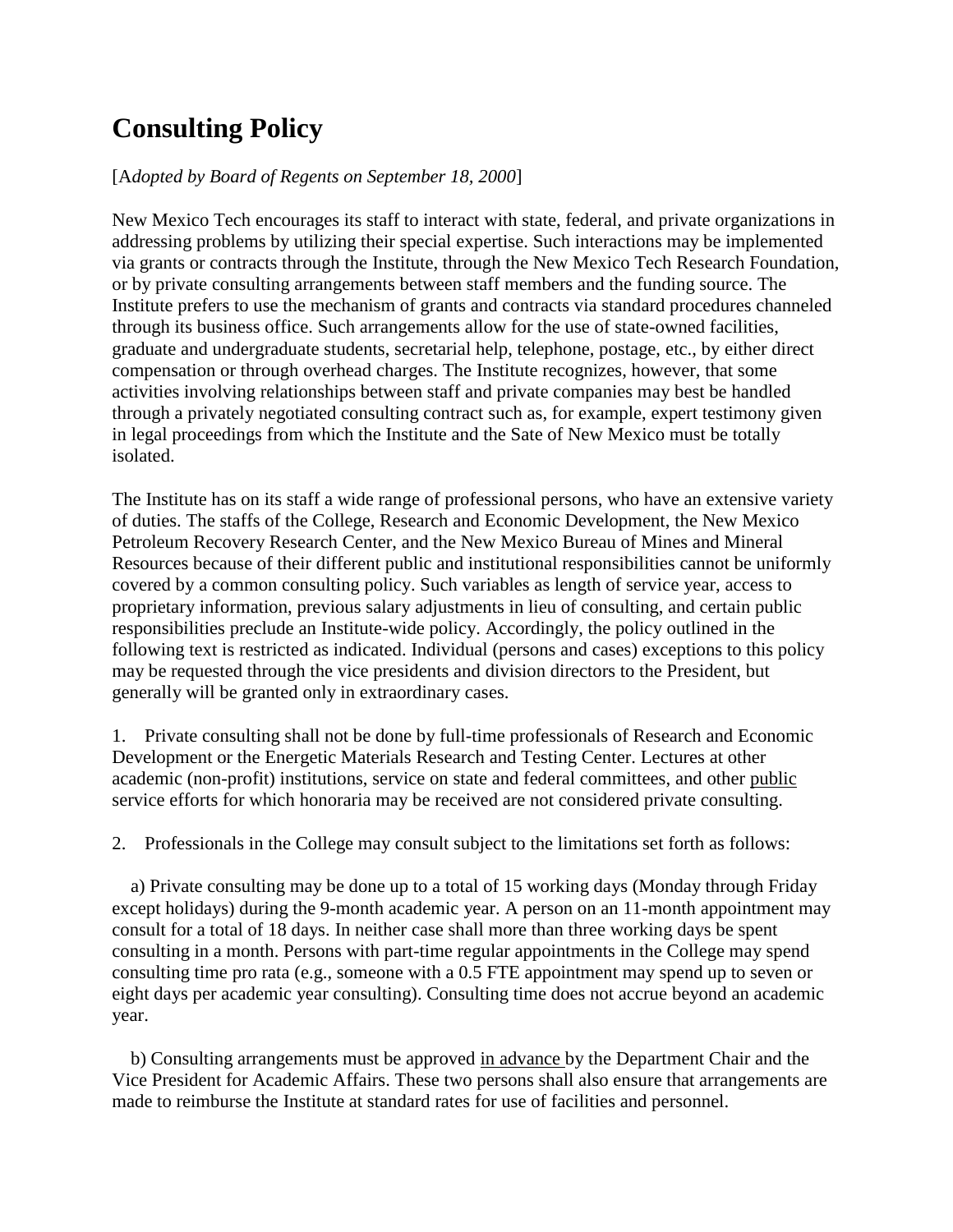## **Consulting Policy**

## [A*dopted by Board of Regents on September 18, 2000*]

New Mexico Tech encourages its staff to interact with state, federal, and private organizations in addressing problems by utilizing their special expertise. Such interactions may be implemented via grants or contracts through the Institute, through the New Mexico Tech Research Foundation, or by private consulting arrangements between staff members and the funding source. The Institute prefers to use the mechanism of grants and contracts via standard procedures channeled through its business office. Such arrangements allow for the use of state-owned facilities, graduate and undergraduate students, secretarial help, telephone, postage, etc., by either direct compensation or through overhead charges. The Institute recognizes, however, that some activities involving relationships between staff and private companies may best be handled through a privately negotiated consulting contract such as, for example, expert testimony given in legal proceedings from which the Institute and the Sate of New Mexico must be totally isolated.

The Institute has on its staff a wide range of professional persons, who have an extensive variety of duties. The staffs of the College, Research and Economic Development, the New Mexico Petroleum Recovery Research Center, and the New Mexico Bureau of Mines and Mineral Resources because of their different public and institutional responsibilities cannot be uniformly covered by a common consulting policy. Such variables as length of service year, access to proprietary information, previous salary adjustments in lieu of consulting, and certain public responsibilities preclude an Institute-wide policy. Accordingly, the policy outlined in the following text is restricted as indicated. Individual (persons and cases) exceptions to this policy may be requested through the vice presidents and division directors to the President, but generally will be granted only in extraordinary cases.

1. Private consulting shall not be done by full-time professionals of Research and Economic Development or the Energetic Materials Research and Testing Center. Lectures at other academic (non-profit) institutions, service on state and federal committees, and other public service efforts for which honoraria may be received are not considered private consulting.

2. Professionals in the College may consult subject to the limitations set forth as follows:

 a) Private consulting may be done up to a total of 15 working days (Monday through Friday except holidays) during the 9-month academic year. A person on an 11-month appointment may consult for a total of 18 days. In neither case shall more than three working days be spent consulting in a month. Persons with part-time regular appointments in the College may spend consulting time pro rata (e.g., someone with a 0.5 FTE appointment may spend up to seven or eight days per academic year consulting). Consulting time does not accrue beyond an academic year.

 b) Consulting arrangements must be approved in advance by the Department Chair and the Vice President for Academic Affairs. These two persons shall also ensure that arrangements are made to reimburse the Institute at standard rates for use of facilities and personnel.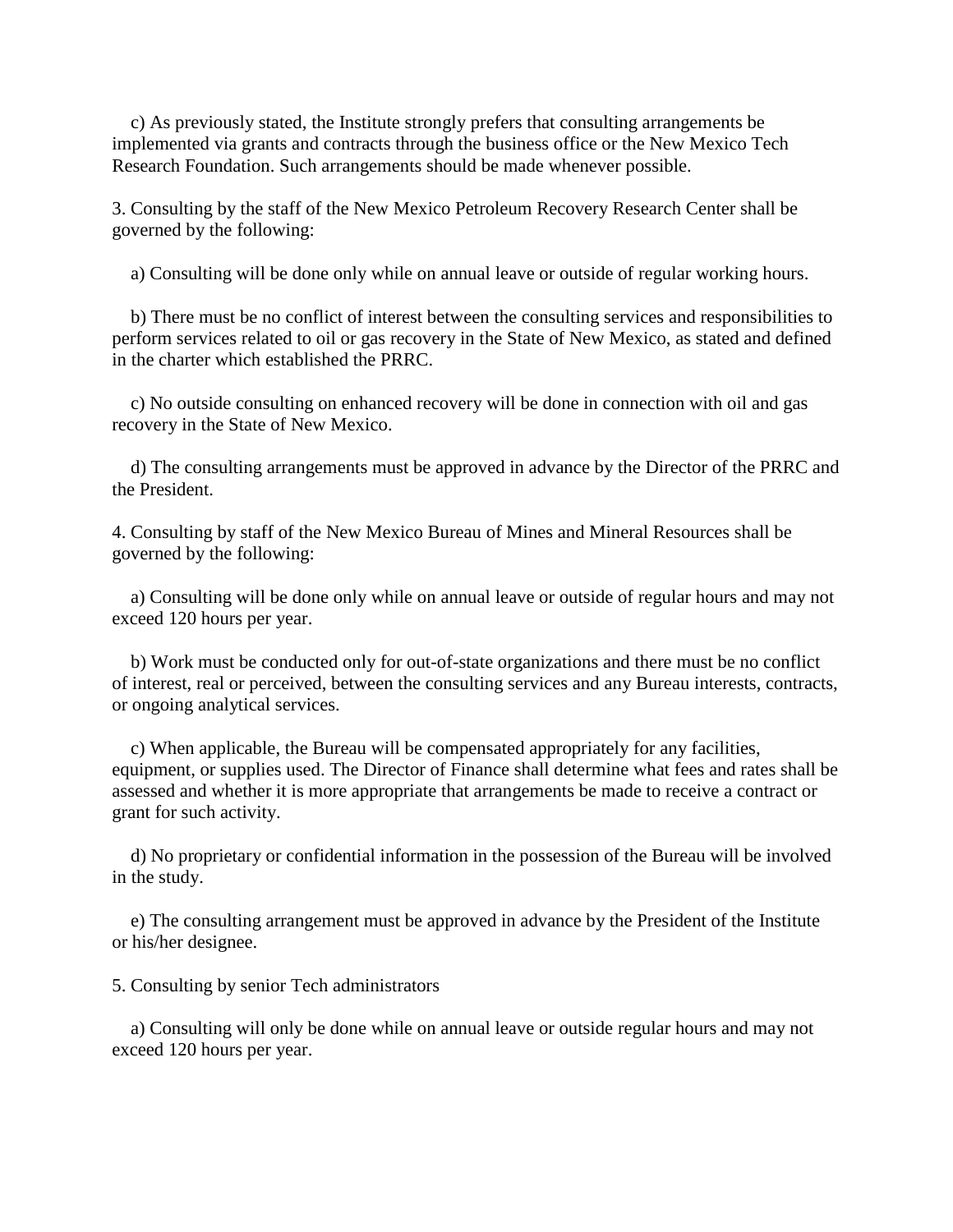c) As previously stated, the Institute strongly prefers that consulting arrangements be implemented via grants and contracts through the business office or the New Mexico Tech Research Foundation. Such arrangements should be made whenever possible.

3. Consulting by the staff of the New Mexico Petroleum Recovery Research Center shall be governed by the following:

a) Consulting will be done only while on annual leave or outside of regular working hours.

 b) There must be no conflict of interest between the consulting services and responsibilities to perform services related to oil or gas recovery in the State of New Mexico, as stated and defined in the charter which established the PRRC.

 c) No outside consulting on enhanced recovery will be done in connection with oil and gas recovery in the State of New Mexico.

 d) The consulting arrangements must be approved in advance by the Director of the PRRC and the President.

4. Consulting by staff of the New Mexico Bureau of Mines and Mineral Resources shall be governed by the following:

 a) Consulting will be done only while on annual leave or outside of regular hours and may not exceed 120 hours per year.

 b) Work must be conducted only for out-of-state organizations and there must be no conflict of interest, real or perceived, between the consulting services and any Bureau interests, contracts, or ongoing analytical services.

 c) When applicable, the Bureau will be compensated appropriately for any facilities, equipment, or supplies used. The Director of Finance shall determine what fees and rates shall be assessed and whether it is more appropriate that arrangements be made to receive a contract or grant for such activity.

 d) No proprietary or confidential information in the possession of the Bureau will be involved in the study.

 e) The consulting arrangement must be approved in advance by the President of the Institute or his/her designee.

5. Consulting by senior Tech administrators

 a) Consulting will only be done while on annual leave or outside regular hours and may not exceed 120 hours per year.